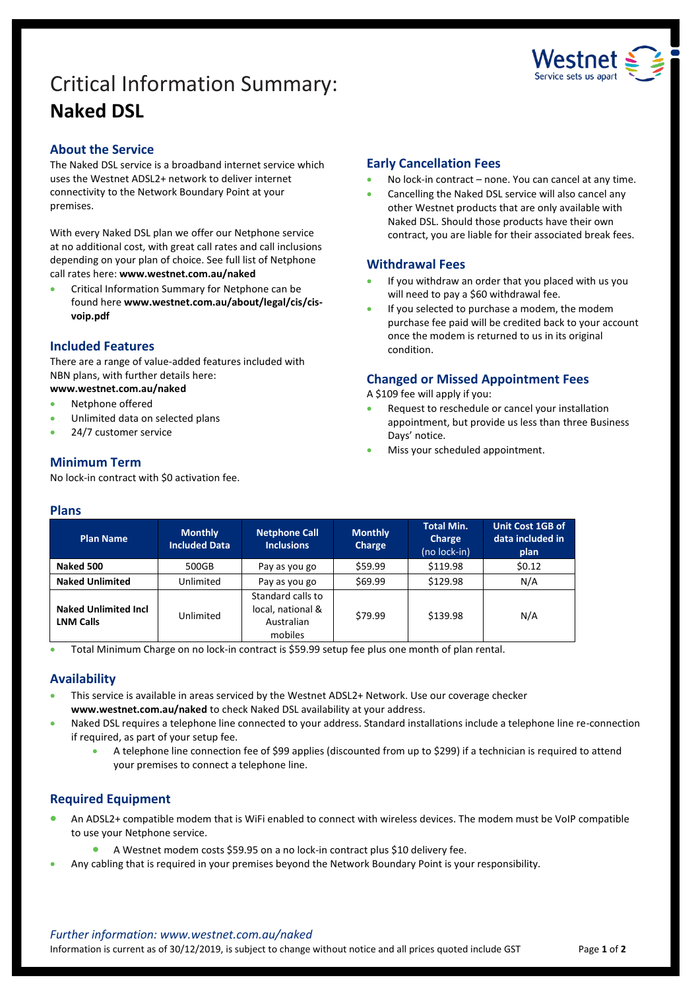# Critical Information Summary: **Naked DSL**



#### **About the Service**

The Naked DSL service is a broadband internet service which uses the Westnet ADSL2+ network to deliver internet connectivity to the Network Boundary Point at your premises.

With every Naked DSL plan we offer our Netphone service at no additional cost, with great call rates and call inclusions depending on your plan of choice. See full list of Netphone call rates here: **www.westnet.com.au/naked**

 Critical Information Summary for Netphone can be found here **www.westnet.com.au/about/legal/cis/cisvoip.pdf**

#### **Included Features**

There are a range of value-added features included with NBN plans, with further details here:

- **www.westnet.com.au/naked**
- Netphone offered
- Unlimited data on selected plans
- 24/7 customer service

# **Minimum Term**

No lock-in contract with \$0 activation fee.

## **Early Cancellation Fees**

- No lock-in contract none. You can cancel at any time.
- Cancelling the Naked DSL service will also cancel any other Westnet products that are only available with Naked DSL. Should those products have their own contract, you are liable for their associated break fees.

## **Withdrawal Fees**

- If you withdraw an order that you placed with us you will need to pay a \$60 withdrawal fee.
- If you selected to purchase a modem, the modem purchase fee paid will be credited back to your account once the modem is returned to us in its original condition.

## **Changed or Missed Appointment Fees**

A \$109 fee will apply if you:

- Request to reschedule or cancel your installation appointment, but provide us less than three Business Days' notice.
- Miss your scheduled appointment.

#### **Plans**

| Plan Name                                       | <b>Monthly</b><br><b>Included Data</b> | <b>Netphone Call</b><br><b>Inclusions</b>                       | <b>Monthly</b><br>Charge | <b>Total Min.</b><br><b>Charge</b><br>(no lock-in) | Unit Cost 1GB of<br>data included in<br>plan |
|-------------------------------------------------|----------------------------------------|-----------------------------------------------------------------|--------------------------|----------------------------------------------------|----------------------------------------------|
| Naked 500                                       | 500GB                                  | Pay as you go                                                   | \$59.99                  | \$119.98                                           | 50.12                                        |
| <b>Naked Unlimited</b>                          | Unlimited                              | Pay as you go                                                   | \$69.99                  | \$129.98                                           | N/A                                          |
| <b>Naked Unlimited Incl</b><br><b>LNM Calls</b> | Unlimited                              | Standard calls to<br>local, national &<br>Australian<br>mobiles | \$79.99                  | \$139.98                                           | N/A                                          |

Total Minimum Charge on no lock-in contract is \$59.99 setup fee plus one month of plan rental.

## **Availability**

- This service is available in areas serviced by the Westnet ADSL2+ Network. Use our coverage checker **www.westnet.com.au/naked** to check Naked DSL availability at your address.
- Naked DSL requires a telephone line connected to your address. Standard installations include a telephone line re-connection if required, as part of your setup fee.
	- A telephone line connection fee of \$99 applies (discounted from up to \$299) if a technician is required to attend your premises to connect a telephone line.

## **Required Equipment**

- An ADSL2+ compatible modem that is WiFi enabled to connect with wireless devices. The modem must be VoIP compatible to use your Netphone service.
	- A Westnet modem costs \$59.95 on a no lock-in contract plus \$10 delivery fee.
- Any cabling that is required in your premises beyond the Network Boundary Point is your responsibility.